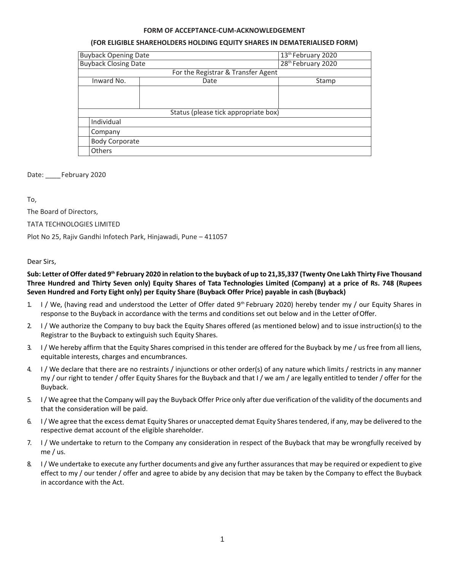### **FORM OF ACCEPTANCE-CUM-ACKNOWLEDGEMENT**

#### **(FOR ELIGIBLE SHAREHOLDERS HOLDING EQUITY SHARES IN DEMATERIALISED FORM)**

| <b>Buyback Opening Date</b>          |                                    | 13 <sup>th</sup> February 2020 |
|--------------------------------------|------------------------------------|--------------------------------|
| <b>Buyback Closing Date</b>          |                                    | 28 <sup>th</sup> February 2020 |
|                                      | For the Registrar & Transfer Agent |                                |
| Inward No.<br>Date<br>Stamp          |                                    |                                |
|                                      |                                    |                                |
|                                      |                                    |                                |
|                                      |                                    |                                |
| Status (please tick appropriate box) |                                    |                                |
| Individual                           |                                    |                                |
| Company                              |                                    |                                |
| <b>Body Corporate</b>                |                                    |                                |
| <b>Others</b>                        |                                    |                                |

Date: February 2020

To,

The Board of Directors,

TATA TECHNOLOGIES LIMITED

Plot No 25, Rajiv Gandhi Infotech Park, Hinjawadi, Pune – 411057

### Dear Sirs,

## Sub: Letter of Offer dated 9th February 2020 in relation to the buyback of up to 21,35,337 (Twenty One Lakh Thirty Five Thousand **Three Hundred and Thirty Seven only) Equity Shares of Tata Technologies Limited (Company) at a price of Rs. 748 (Rupees Seven Hundred and Forty Eight only) per Equity Share (Buyback Offer Price) payable in cash (Buyback)**

- 1. I / We, (having read and understood the Letter of Offer dated  $9<sup>th</sup>$  February 2020) hereby tender my / our Equity Shares in response to the Buyback in accordance with the terms and conditions set out below and in the Letter ofOffer.
- 2. I / We authorize the Company to buy back the Equity Shares offered (as mentioned below) and to issue instruction(s) to the Registrar to the Buyback to extinguish such Equity Shares.
- 3. I / We hereby affirm that the Equity Shares comprised in this tender are offered for the Buyback by me / us free from all liens, equitable interests, charges and encumbrances.
- 4. I / We declare that there are no restraints / injunctions or other order(s) of any nature which limits / restricts in any manner my / our right to tender / offer Equity Shares for the Buyback and that I / we am / are legally entitled to tender / offer for the Buyback.
- 5. I/ We agree that the Company will pay the Buyback Offer Price only after due verification of the validity of the documents and that the consideration will be paid.
- 6. I/ We agree that the excess demat Equity Shares or unaccepted demat Equity Sharestendered, if any,may be delivered to the respective demat account of the eligible shareholder.
- 7. I / We undertake to return to the Company any consideration in respect of the Buyback that may be wrongfully received by me / us.
- 8. I / We undertake to execute any further documents and give any further assurances that may be required or expedient to give effect to my / our tender / offer and agree to abide by any decision that may be taken by the Company to effect the Buyback in accordance with the Act.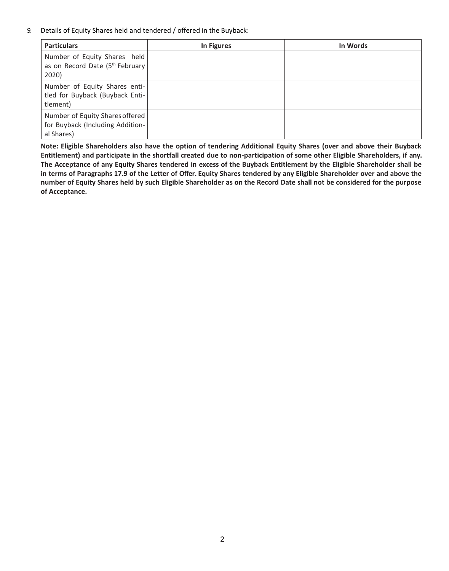9. Details of Equity Shares held and tendered / offered in the Buyback:

| <b>Particulars</b>                                                                | In Figures | In Words |
|-----------------------------------------------------------------------------------|------------|----------|
| Number of Equity Shares held<br>as on Record Date (5th February<br>2020)          |            |          |
| Number of Equity Shares enti-<br>tled for Buyback (Buyback Enti-<br>tlement)      |            |          |
| Number of Equity Shares offered<br>for Buyback (Including Addition-<br>al Shares) |            |          |

**Note: Eligible Shareholders also have the option of tendering Additional Equity Shares (over and above their Buyback Entitlement) and participate in the shortfall created due to non-participation of some other Eligible Shareholders, if any. The Acceptance of any Equity Shares tendered in excess of the Buyback Entitlement by the Eligible Shareholder shall be in terms of Paragraphs 17.9 of the Letter of Offer. Equity Shares tendered by any Eligible Shareholder over and above the number of Equity Shares held by such Eligible Shareholder as on the Record Date shall not be considered for the purpose of Acceptance.**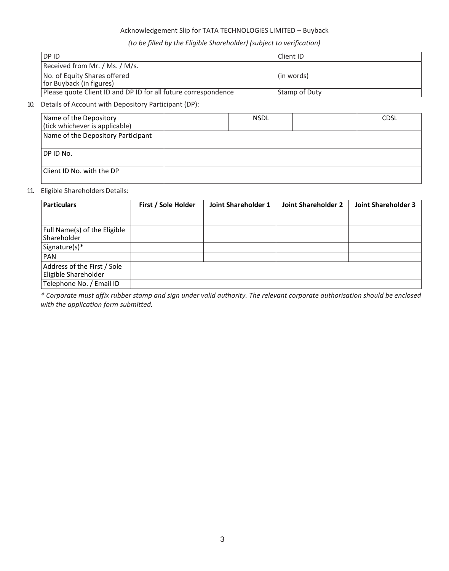## Acknowledgement Slip for TATA TECHNOLOGIES LIMITED – Buyback

# *(to be filled by the Eligible Shareholder) (subject to verification)*

| <b>IDPID</b>                                                   | l Client ID   |  |
|----------------------------------------------------------------|---------------|--|
| Received from Mr. / Ms. / M/s.                                 |               |  |
| No. of Equity Shares offered<br>for Buyback (in figures)       | (in words)    |  |
| Please quote Client ID and DP ID for all future correspondence | Stamp of Duty |  |

## 10. Details of Account with Depository Participant (DP):

| Name of the Depository<br>(tick whichever is applicable) | <b>NSDL</b> | <b>CDSL</b> |
|----------------------------------------------------------|-------------|-------------|
| Name of the Depository Participant                       |             |             |
| DP ID No.                                                |             |             |
| Client ID No. with the DP                                |             |             |

## 11. Eligible Shareholders Details:

| <b>Particulars</b>                                  | First / Sole Holder | Joint Shareholder 1 | Joint Shareholder 2 | <b>Joint Shareholder 3</b> |
|-----------------------------------------------------|---------------------|---------------------|---------------------|----------------------------|
| Full Name(s) of the Eligible<br><b>Shareholder</b>  |                     |                     |                     |                            |
| Signature(s)*                                       |                     |                     |                     |                            |
| <b>PAN</b>                                          |                     |                     |                     |                            |
| Address of the First / Sole<br>Eligible Shareholder |                     |                     |                     |                            |
| Telephone No. / Email ID                            |                     |                     |                     |                            |

*\* Corporate must affix rubber stamp and sign under valid authority. The relevant corporate authorisation should be enclosed with the application form submitted.*